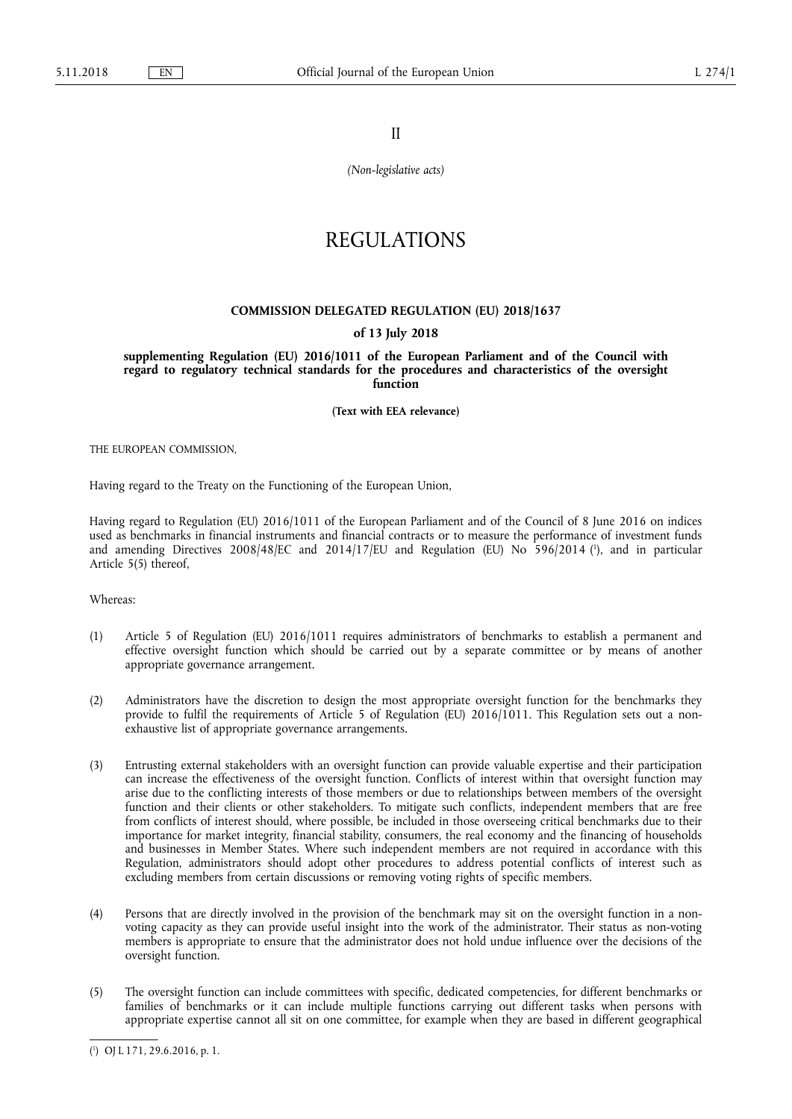II

*(Non-legislative acts)* 

# REGULATIONS

# **COMMISSION DELEGATED REGULATION (EU) 2018/1637**

# **of 13 July 2018**

**supplementing Regulation (EU) 2016/1011 of the European Parliament and of the Council with regard to regulatory technical standards for the procedures and characteristics of the oversight function** 

**(Text with EEA relevance)** 

THE EUROPEAN COMMISSION,

Having regard to the Treaty on the Functioning of the European Union,

Having regard to Regulation (EU) 2016/1011 of the European Parliament and of the Council of 8 June 2016 on indices used as benchmarks in financial instruments and financial contracts or to measure the performance of investment funds and amending Directives 2008/48/EC and 2014/17/EU and Regulation (EU) No 596/2014 ( 1 ), and in particular Article 5(5) thereof,

Whereas:

- (1) Article 5 of Regulation (EU) 2016/1011 requires administrators of benchmarks to establish a permanent and effective oversight function which should be carried out by a separate committee or by means of another appropriate governance arrangement.
- (2) Administrators have the discretion to design the most appropriate oversight function for the benchmarks they provide to fulfil the requirements of Article 5 of Regulation (EU) 2016/1011. This Regulation sets out a nonexhaustive list of appropriate governance arrangements.
- (3) Entrusting external stakeholders with an oversight function can provide valuable expertise and their participation can increase the effectiveness of the oversight function. Conflicts of interest within that oversight function may arise due to the conflicting interests of those members or due to relationships between members of the oversight function and their clients or other stakeholders. To mitigate such conflicts, independent members that are free from conflicts of interest should, where possible, be included in those overseeing critical benchmarks due to their importance for market integrity, financial stability, consumers, the real economy and the financing of households and businesses in Member States. Where such independent members are not required in accordance with this Regulation, administrators should adopt other procedures to address potential conflicts of interest such as excluding members from certain discussions or removing voting rights of specific members.
- (4) Persons that are directly involved in the provision of the benchmark may sit on the oversight function in a nonvoting capacity as they can provide useful insight into the work of the administrator. Their status as non-voting members is appropriate to ensure that the administrator does not hold undue influence over the decisions of the oversight function.
- (5) The oversight function can include committees with specific, dedicated competencies, for different benchmarks or families of benchmarks or it can include multiple functions carrying out different tasks when persons with appropriate expertise cannot all sit on one committee, for example when they are based in different geographical

<sup>(</sup> 1 ) OJ L 171, 29.6.2016, p. 1.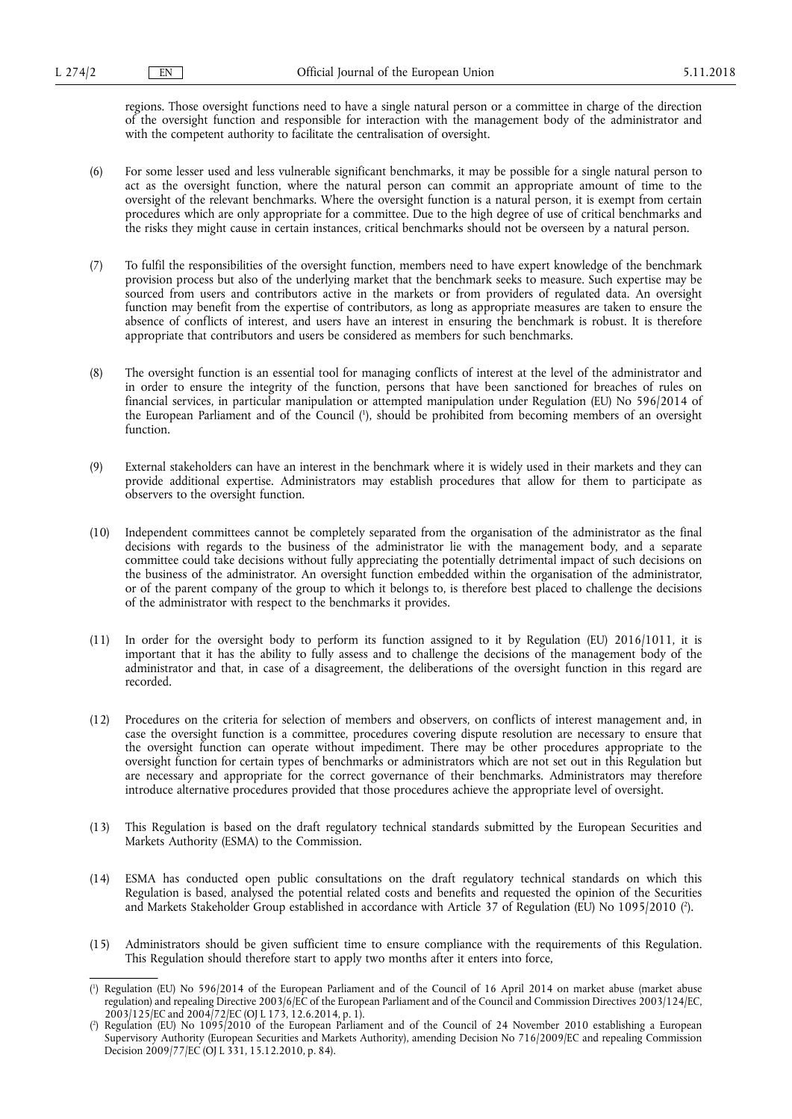regions. Those oversight functions need to have a single natural person or a committee in charge of the direction of the oversight function and responsible for interaction with the management body of the administrator and with the competent authority to facilitate the centralisation of oversight.

- (6) For some lesser used and less vulnerable significant benchmarks, it may be possible for a single natural person to act as the oversight function, where the natural person can commit an appropriate amount of time to the oversight of the relevant benchmarks. Where the oversight function is a natural person, it is exempt from certain procedures which are only appropriate for a committee. Due to the high degree of use of critical benchmarks and the risks they might cause in certain instances, critical benchmarks should not be overseen by a natural person.
- (7) To fulfil the responsibilities of the oversight function, members need to have expert knowledge of the benchmark provision process but also of the underlying market that the benchmark seeks to measure. Such expertise may be sourced from users and contributors active in the markets or from providers of regulated data. An oversight function may benefit from the expertise of contributors, as long as appropriate measures are taken to ensure the absence of conflicts of interest, and users have an interest in ensuring the benchmark is robust. It is therefore appropriate that contributors and users be considered as members for such benchmarks.
- (8) The oversight function is an essential tool for managing conflicts of interest at the level of the administrator and in order to ensure the integrity of the function, persons that have been sanctioned for breaches of rules on financial services, in particular manipulation or attempted manipulation under Regulation (EU) No 596/2014 of the European Parliament and of the Council ( 1 ), should be prohibited from becoming members of an oversight function.
- (9) External stakeholders can have an interest in the benchmark where it is widely used in their markets and they can provide additional expertise. Administrators may establish procedures that allow for them to participate as observers to the oversight function.
- (10) Independent committees cannot be completely separated from the organisation of the administrator as the final decisions with regards to the business of the administrator lie with the management body, and a separate committee could take decisions without fully appreciating the potentially detrimental impact of such decisions on the business of the administrator. An oversight function embedded within the organisation of the administrator, or of the parent company of the group to which it belongs to, is therefore best placed to challenge the decisions of the administrator with respect to the benchmarks it provides.
- (11) In order for the oversight body to perform its function assigned to it by Regulation (EU) 2016/1011, it is important that it has the ability to fully assess and to challenge the decisions of the management body of the administrator and that, in case of a disagreement, the deliberations of the oversight function in this regard are recorded.
- (12) Procedures on the criteria for selection of members and observers, on conflicts of interest management and, in case the oversight function is a committee, procedures covering dispute resolution are necessary to ensure that the oversight function can operate without impediment. There may be other procedures appropriate to the oversight function for certain types of benchmarks or administrators which are not set out in this Regulation but are necessary and appropriate for the correct governance of their benchmarks. Administrators may therefore introduce alternative procedures provided that those procedures achieve the appropriate level of oversight.
- (13) This Regulation is based on the draft regulatory technical standards submitted by the European Securities and Markets Authority (ESMA) to the Commission.
- (14) ESMA has conducted open public consultations on the draft regulatory technical standards on which this Regulation is based, analysed the potential related costs and benefits and requested the opinion of the Securities and Markets Stakeholder Group established in accordance with Article 37 of Regulation (EU) No 1095/2010 ( 2 ).
- (15) Administrators should be given sufficient time to ensure compliance with the requirements of this Regulation. This Regulation should therefore start to apply two months after it enters into force,

<sup>(</sup> 1 ) Regulation (EU) No 596/2014 of the European Parliament and of the Council of 16 April 2014 on market abuse (market abuse regulation) and repealing Directive 2003/6/EC of the European Parliament and of the Council and Commission Directives 2003/124/EC, 2003/125/EC and 2004/72/EC (OJ L 173, 12.6.2014, p. 1).

<sup>(</sup> 2 ) Regulation (EU) No 1095/2010 of the European Parliament and of the Council of 24 November 2010 establishing a European Supervisory Authority (European Securities and Markets Authority), amending Decision No 716/2009/EC and repealing Commission Decision 2009/77/EC (OJ L 331, 15.12.2010, p. 84).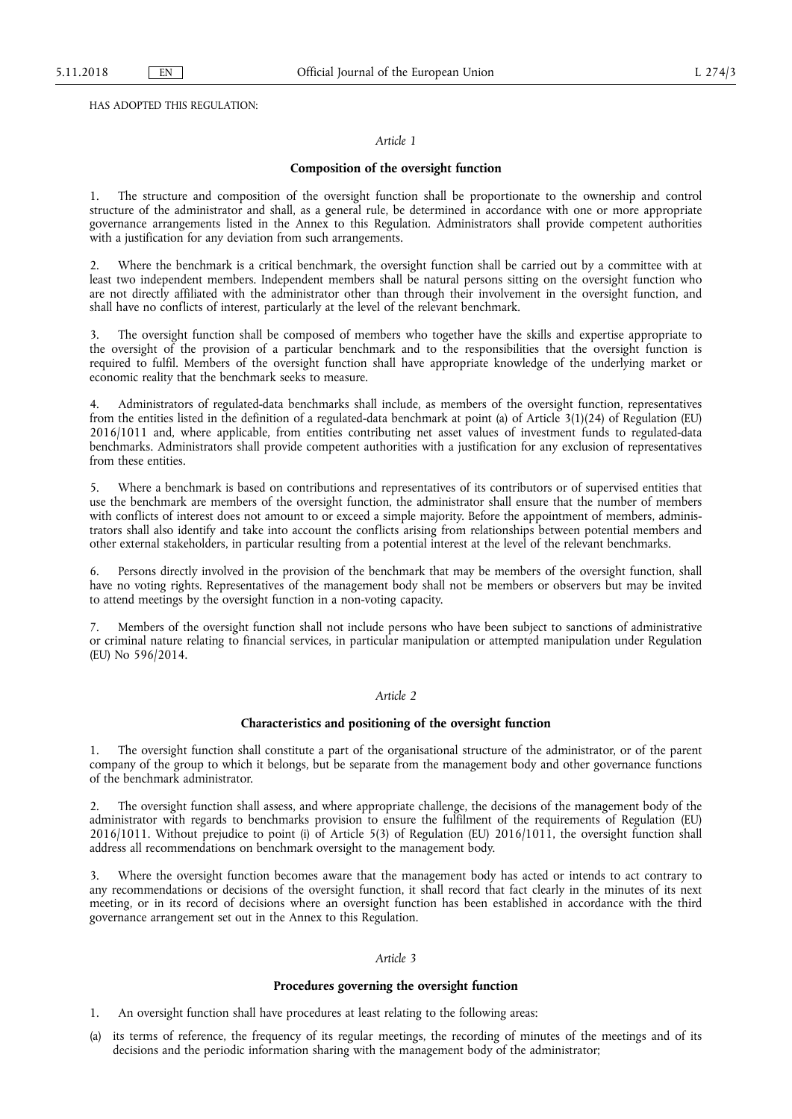HAS ADOPTED THIS REGULATION:

# *Article 1*

# **Composition of the oversight function**

1. The structure and composition of the oversight function shall be proportionate to the ownership and control structure of the administrator and shall, as a general rule, be determined in accordance with one or more appropriate governance arrangements listed in the Annex to this Regulation. Administrators shall provide competent authorities with a justification for any deviation from such arrangements.

2. Where the benchmark is a critical benchmark, the oversight function shall be carried out by a committee with at least two independent members. Independent members shall be natural persons sitting on the oversight function who are not directly affiliated with the administrator other than through their involvement in the oversight function, and shall have no conflicts of interest, particularly at the level of the relevant benchmark.

3. The oversight function shall be composed of members who together have the skills and expertise appropriate to the oversight of the provision of a particular benchmark and to the responsibilities that the oversight function is required to fulfil. Members of the oversight function shall have appropriate knowledge of the underlying market or economic reality that the benchmark seeks to measure.

4. Administrators of regulated-data benchmarks shall include, as members of the oversight function, representatives from the entities listed in the definition of a regulated-data benchmark at point (a) of Article 3(1)(24) of Regulation (EU) 2016/1011 and, where applicable, from entities contributing net asset values of investment funds to regulated-data benchmarks. Administrators shall provide competent authorities with a justification for any exclusion of representatives from these entities.

5. Where a benchmark is based on contributions and representatives of its contributors or of supervised entities that use the benchmark are members of the oversight function, the administrator shall ensure that the number of members with conflicts of interest does not amount to or exceed a simple majority. Before the appointment of members, administrators shall also identify and take into account the conflicts arising from relationships between potential members and other external stakeholders, in particular resulting from a potential interest at the level of the relevant benchmarks.

6. Persons directly involved in the provision of the benchmark that may be members of the oversight function, shall have no voting rights. Representatives of the management body shall not be members or observers but may be invited to attend meetings by the oversight function in a non-voting capacity.

7. Members of the oversight function shall not include persons who have been subject to sanctions of administrative or criminal nature relating to financial services, in particular manipulation or attempted manipulation under Regulation (EU) No 596/2014.

# *Article 2*

## **Characteristics and positioning of the oversight function**

1. The oversight function shall constitute a part of the organisational structure of the administrator, or of the parent company of the group to which it belongs, but be separate from the management body and other governance functions of the benchmark administrator.

2. The oversight function shall assess, and where appropriate challenge, the decisions of the management body of the administrator with regards to benchmarks provision to ensure the fulfilment of the requirements of Regulation (EU) 2016/1011. Without prejudice to point (i) of Article 5(3) of Regulation (EU) 2016/1011, the oversight function shall address all recommendations on benchmark oversight to the management body.

3. Where the oversight function becomes aware that the management body has acted or intends to act contrary to any recommendations or decisions of the oversight function, it shall record that fact clearly in the minutes of its next meeting, or in its record of decisions where an oversight function has been established in accordance with the third governance arrangement set out in the Annex to this Regulation.

# *Article 3*

# **Procedures governing the oversight function**

1. An oversight function shall have procedures at least relating to the following areas:

its terms of reference, the frequency of its regular meetings, the recording of minutes of the meetings and of its decisions and the periodic information sharing with the management body of the administrator;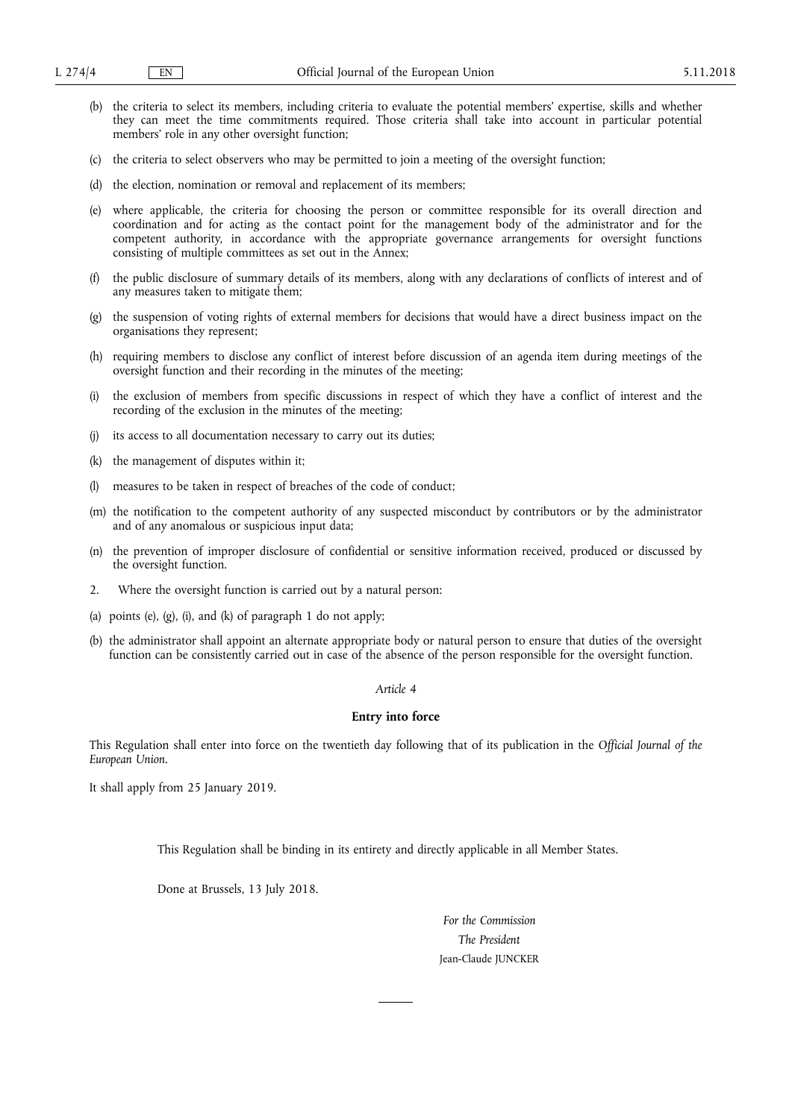- (b) the criteria to select its members, including criteria to evaluate the potential members' expertise, skills and whether they can meet the time commitments required. Those criteria shall take into account in particular potential members' role in any other oversight function;
- (c) the criteria to select observers who may be permitted to join a meeting of the oversight function;
- (d) the election, nomination or removal and replacement of its members;
- (e) where applicable, the criteria for choosing the person or committee responsible for its overall direction and coordination and for acting as the contact point for the management body of the administrator and for the competent authority, in accordance with the appropriate governance arrangements for oversight functions consisting of multiple committees as set out in the Annex;
- (f) the public disclosure of summary details of its members, along with any declarations of conflicts of interest and of any measures taken to mitigate them;
- (g) the suspension of voting rights of external members for decisions that would have a direct business impact on the organisations they represent;
- (h) requiring members to disclose any conflict of interest before discussion of an agenda item during meetings of the oversight function and their recording in the minutes of the meeting;
- (i) the exclusion of members from specific discussions in respect of which they have a conflict of interest and the recording of the exclusion in the minutes of the meeting;
- (j) its access to all documentation necessary to carry out its duties;
- (k) the management of disputes within it;
- (l) measures to be taken in respect of breaches of the code of conduct;
- (m) the notification to the competent authority of any suspected misconduct by contributors or by the administrator and of any anomalous or suspicious input data;
- (n) the prevention of improper disclosure of confidential or sensitive information received, produced or discussed by the oversight function.
- 2. Where the oversight function is carried out by a natural person:
- (a) points (e), (g), (i), and (k) of paragraph 1 do not apply;
- (b) the administrator shall appoint an alternate appropriate body or natural person to ensure that duties of the oversight function can be consistently carried out in case of the absence of the person responsible for the oversight function.

# *Article 4*

## **Entry into force**

This Regulation shall enter into force on the twentieth day following that of its publication in the *Official Journal of the European Union*.

It shall apply from 25 January 2019.

This Regulation shall be binding in its entirety and directly applicable in all Member States.

Done at Brussels, 13 July 2018.

*For the Commission The President*  Jean-Claude JUNCKER